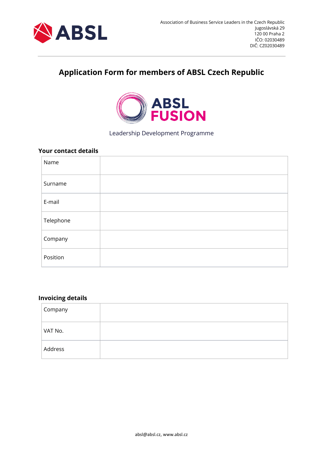

# **Application Form for members of ABSL Czech Republic**



Leadership Development Programme

#### **Your contact details**

| Name      |  |
|-----------|--|
| Surname   |  |
| E-mail    |  |
| Telephone |  |
| Company   |  |
| Position  |  |

## **Invoicing details**

| Company |  |
|---------|--|
| VAT No. |  |
| Address |  |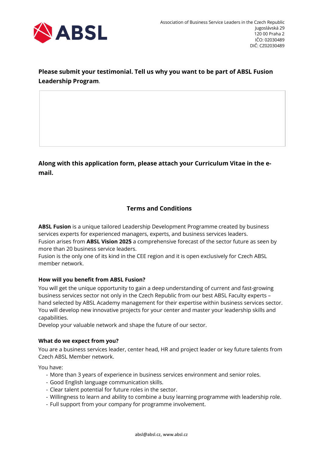

# **Please submit your testimonial. Tell us why you want to be part of ABSL Fusion Leadership Program**.

**Along with this application form, please attach your Curriculum Vitae in the email.**

# **Terms and Conditions**

**ABSL Fusion** is a unique tailored Leadership Development Programme created by business services experts for experienced managers, experts, and business services leaders. Fusion arises from **ABSL Vision 2025** a comprehensive forecast of the sector future as seen by more than 20 business service leaders.

Fusion is the only one of its kind in the CEE region and it is open exclusively for Czech ABSL member network.

### **How will you benefit from ABSL Fusion?**

You will get the unique opportunity to gain a deep understanding of current and fast-growing business services sector not only in the Czech Republic from our best ABSL Faculty experts – hand selected by ABSL Academy management for their expertise within business services sector. You will develop new innovative projects for your center and master your leadership skills and capabilities.

Develop your valuable network and shape the future of our sector.

#### **What do we expect from you?**

You are a business services leader, center head, HR and project leader or key future talents from Czech ABSL Member network.

You have:

- More than 3 years of experience in business services environment and senior roles.
- Good English language communication skills.
- Clear talent potential for future roles in the sector.
- Willingness to learn and ability to combine a busy learning programme with leadership role.
- Full support from your company for programme involvement.